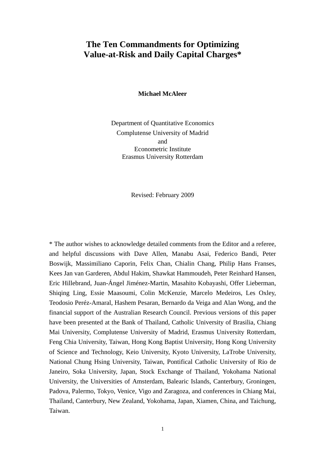## **The Ten Commandments for Optimizing Value-at-Risk and Daily Capital Charges\***

**Michael McAleer** 

Department of Quantitative Economics Complutense University of Madrid and Econometric Institute Erasmus University Rotterdam

Revised: February 2009

\* The author wishes to acknowledge detailed comments from the Editor and a referee, and helpful discussions with Dave Allen, Manabu Asai, Federico Bandi, Peter Boswijk, Massimiliano Caporin, Felix Chan, Chialin Chang, Philip Hans Franses, Kees Jan van Garderen, Abdul Hakim, Shawkat Hammoudeh, Peter Reinhard Hansen, Eric Hillebrand, Juan-Ángel Jiménez-Martin, Masahito Kobayashi, Offer Lieberman, Shiqing Ling, Essie Maasoumi, Colin McKenzie, Marcelo Medeiros, Les Oxley, Teodosio Peréz-Amaral, Hashem Pesaran, Bernardo da Veiga and Alan Wong, and the financial support of the Australian Research Council. Previous versions of this paper have been presented at the Bank of Thailand, Catholic University of Brasilia, Chiang Mai University, Complutense University of Madrid, Erasmus University Rotterdam, Feng Chia University, Taiwan, Hong Kong Baptist University, Hong Kong University of Science and Technology, Keio University, Kyoto University, LaTrobe University, National Chung Hsing University, Taiwan, Pontifical Catholic University of Rio de Janeiro, Soka University, Japan, Stock Exchange of Thailand, Yokohama National University, the Universities of Amsterdam, Balearic Islands, Canterbury, Groningen, Padova, Palermo, Tokyo, Venice, Vigo and Zaragoza, and conferences in Chiang Mai, Thailand, Canterbury, New Zealand, Yokohama, Japan, Xiamen, China, and Taichung, Taiwan.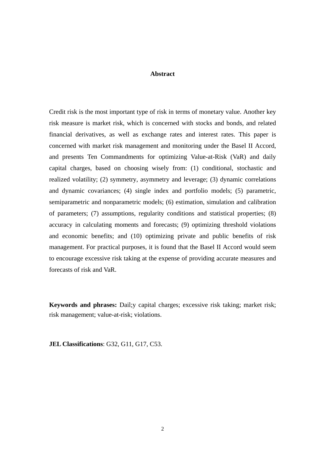#### **Abstract**

Credit risk is the most important type of risk in terms of monetary value. Another key risk measure is market risk, which is concerned with stocks and bonds, and related financial derivatives, as well as exchange rates and interest rates. This paper is concerned with market risk management and monitoring under the Basel II Accord, and presents Ten Commandments for optimizing Value-at-Risk (VaR) and daily capital charges, based on choosing wisely from: (1) conditional, stochastic and realized volatility; (2) symmetry, asymmetry and leverage; (3) dynamic correlations and dynamic covariances; (4) single index and portfolio models; (5) parametric, semiparametric and nonparametric models; (6) estimation, simulation and calibration of parameters; (7) assumptions, regularity conditions and statistical properties; (8) accuracy in calculating moments and forecasts; (9) optimizing threshold violations and economic benefits; and (10) optimizing private and public benefits of risk management. For practical purposes, it is found that the Basel II Accord would seem to encourage excessive risk taking at the expense of providing accurate measures and forecasts of risk and VaR.

**Keywords and phrases:** Dail;y capital charges; excessive risk taking; market risk; risk management; value-at-risk; violations.

**JEL Classifications**: G32, G11, G17, C53.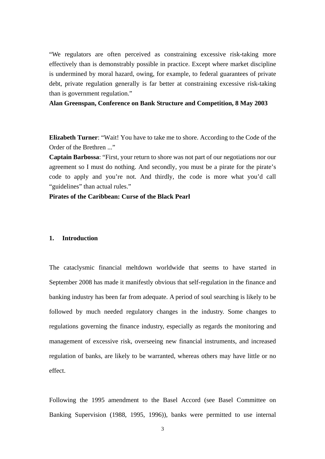"We regulators are often perceived as constraining excessive risk-taking more effectively than is demonstrably possible in practice. Except where market discipline is undermined by moral hazard, owing, for example, to federal guarantees of private debt, private regulation generally is far better at constraining excessive risk-taking than is government regulation."

### **Alan Greenspan, Conference on Bank Structure and Competition, 8 May 2003**

**Elizabeth Turner**: "Wait! You have to take me to shore. According to the Code of the Order of the Brethren ..."

**Captain Barbossa**: "First, your return to shore was not part of our negotiations nor our agreement so I must do nothing. And secondly, you must be a pirate for the pirate's code to apply and you're not. And thirdly, the code is more what you'd call "guidelines" than actual rules."

**Pirates of the Caribbean: Curse of the Black Pearl**

### **1. Introduction**

The cataclysmic financial meltdown worldwide that seems to have started in September 2008 has made it manifestly obvious that self-regulation in the finance and banking industry has been far from adequate. A period of soul searching is likely to be followed by much needed regulatory changes in the industry. Some changes to regulations governing the finance industry, especially as regards the monitoring and management of excessive risk, overseeing new financial instruments, and increased regulation of banks, are likely to be warranted, whereas others may have little or no effect.

Following the 1995 amendment to the Basel Accord (see Basel Committee on Banking Supervision (1988, 1995, 1996)), banks were permitted to use internal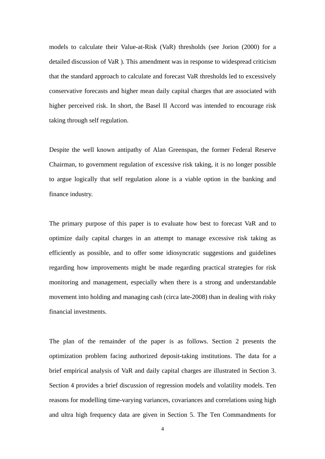models to calculate their Value-at-Risk (VaR) thresholds (see Jorion (2000) for a detailed discussion of VaR ). This amendment was in response to widespread criticism that the standard approach to calculate and forecast VaR thresholds led to excessively conservative forecasts and higher mean daily capital charges that are associated with higher perceived risk. In short, the Basel II Accord was intended to encourage risk taking through self regulation.

Despite the well known antipathy of Alan Greenspan, the former Federal Reserve Chairman, to government regulation of excessive risk taking, it is no longer possible to argue logically that self regulation alone is a viable option in the banking and finance industry.

The primary purpose of this paper is to evaluate how best to forecast VaR and to optimize daily capital charges in an attempt to manage excessive risk taking as efficiently as possible, and to offer some idiosyncratic suggestions and guidelines regarding how improvements might be made regarding practical strategies for risk monitoring and management, especially when there is a strong and understandable movement into holding and managing cash (circa late-2008) than in dealing with risky financial investments.

The plan of the remainder of the paper is as follows. Section 2 presents the optimization problem facing authorized deposit-taking institutions. The data for a brief empirical analysis of VaR and daily capital charges are illustrated in Section 3. Section 4 provides a brief discussion of regression models and volatility models. Ten reasons for modelling time-varying variances, covariances and correlations using high and ultra high frequency data are given in Section 5. The Ten Commandments for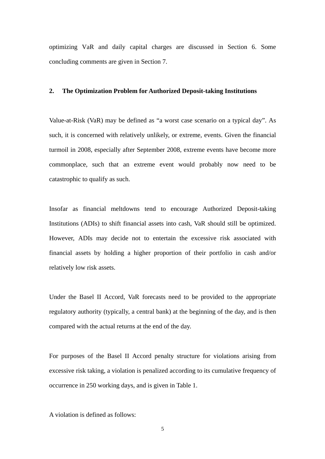optimizing VaR and daily capital charges are discussed in Section 6. Some concluding comments are given in Section 7.

#### **2. The Optimization Problem for Authorized Deposit-taking Institutions**

Value-at-Risk (VaR) may be defined as "a worst case scenario on a typical day". As such, it is concerned with relatively unlikely, or extreme, events. Given the financial turmoil in 2008, especially after September 2008, extreme events have become more commonplace, such that an extreme event would probably now need to be catastrophic to qualify as such.

Insofar as financial meltdowns tend to encourage Authorized Deposit-taking Institutions (ADIs) to shift financial assets into cash, VaR should still be optimized. However, ADIs may decide not to entertain the excessive risk associated with financial assets by holding a higher proportion of their portfolio in cash and/or relatively low risk assets.

Under the Basel II Accord, VaR forecasts need to be provided to the appropriate regulatory authority (typically, a central bank) at the beginning of the day, and is then compared with the actual returns at the end of the day.

For purposes of the Basel II Accord penalty structure for violations arising from excessive risk taking, a violation is penalized according to its cumulative frequency of occurrence in 250 working days, and is given in Table 1.

A violation is defined as follows: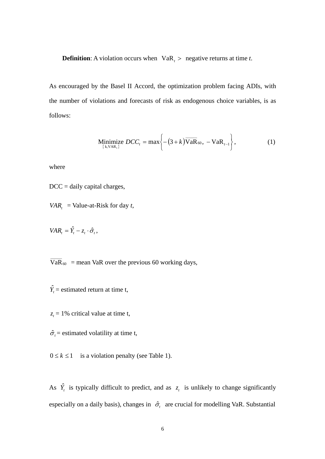**Definition:** A violation occurs when  $VaR_1$  > negative returns at time *t*.

As encouraged by the Basel II Accord, the optimization problem facing ADIs, with the number of violations and forecasts of risk as endogenous choice variables, is as follows:

$$
\underset{{\{k, VAR_t\}}} {\text{Minimize }} DCC_t = \max \bigg\{ -(3 + k) \overline{\text{VaR}}_{60}, -\text{VaR}_{t-1} \bigg\},\tag{1}
$$

where

 $DCC =$  daily capital charges,

- *VAR*<sub> $t$ </sub> = Value-at-Risk for day *t*,
- $VAR_{t} = \hat{Y}_{t} z_{t} \cdot \hat{\sigma}_{t}$

60  $\overline{VaR}_{60}$  = mean VaR over the previous 60 working days,

- $\hat{Y}_t$  = estimated return at time t,
- $z_t = 1\%$  critical value at time t,
- $\hat{\sigma}_t$  = estimated volatility at time t,

 $0 \le k \le 1$  is a violation penalty (see Table 1).

As  $\hat{Y}_t$  is typically difficult to predict, and as  $z_t$  is unlikely to change significantly especially on a daily basis), changes in  $\hat{\sigma}_t$  are crucial for modelling VaR. Substantial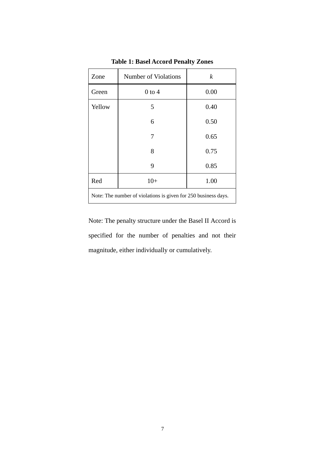| Zone                                                           | Number of Violations | $\boldsymbol{k}$ |  |  |  |
|----------------------------------------------------------------|----------------------|------------------|--|--|--|
| Green                                                          | $0$ to $4$           | 0.00             |  |  |  |
| Yellow                                                         | 5                    | 0.40             |  |  |  |
|                                                                | 6                    | 0.50             |  |  |  |
|                                                                | 7                    | 0.65             |  |  |  |
|                                                                | 8                    | 0.75             |  |  |  |
|                                                                | 9                    | 0.85             |  |  |  |
| Red                                                            | $10+$                | 1.00             |  |  |  |
| Note: The number of violations is given for 250 business days. |                      |                  |  |  |  |

**Table 1: Basel Accord Penalty Zones** 

Note: The penalty structure under the Basel II Accord is specified for the number of penalties and not their magnitude, either individually or cumulatively.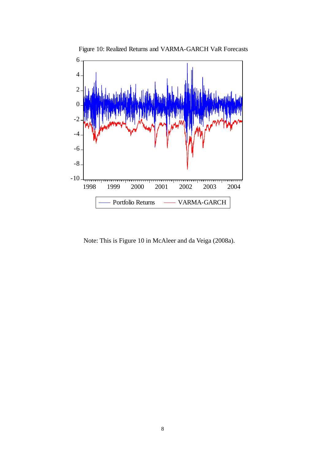

Figure 10: Realized Returns and VARMA-GARCH VaR Forecasts

Note: This is Figure 10 in McAleer and da Veiga (2008a).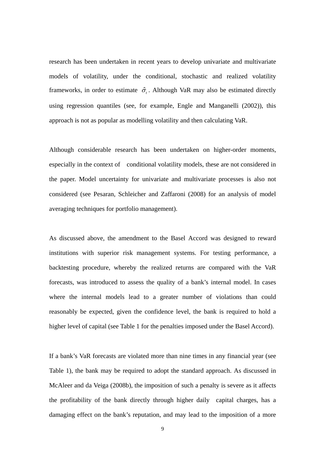research has been undertaken in recent years to develop univariate and multivariate models of volatility, under the conditional, stochastic and realized volatility frameworks, in order to estimate  $\hat{\sigma}_t$ . Although VaR may also be estimated directly using regression quantiles (see, for example, Engle and Manganelli (2002)), this approach is not as popular as modelling volatility and then calculating VaR.

Although considerable research has been undertaken on higher-order moments, especially in the context of conditional volatility models, these are not considered in the paper. Model uncertainty for univariate and multivariate processes is also not considered (see Pesaran, Schleicher and Zaffaroni (2008) for an analysis of model averaging techniques for portfolio management).

As discussed above, the amendment to the Basel Accord was designed to reward institutions with superior risk management systems. For testing performance, a backtesting procedure, whereby the realized returns are compared with the VaR forecasts, was introduced to assess the quality of a bank's internal model. In cases where the internal models lead to a greater number of violations than could reasonably be expected, given the confidence level, the bank is required to hold a higher level of capital (see Table 1 for the penalties imposed under the Basel Accord).

If a bank's VaR forecasts are violated more than nine times in any financial year (see Table 1), the bank may be required to adopt the standard approach. As discussed in McAleer and da Veiga (2008b), the imposition of such a penalty is severe as it affects the profitability of the bank directly through higher daily capital charges, has a damaging effect on the bank's reputation, and may lead to the imposition of a more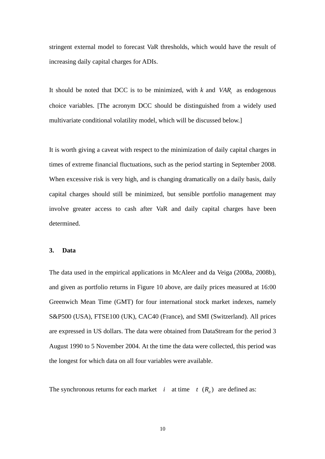stringent external model to forecast VaR thresholds, which would have the result of increasing daily capital charges for ADIs.

It should be noted that DCC is to be minimized, with  $k$  and  $VAR$ , as endogenous choice variables. [The acronym DCC should be distinguished from a widely used multivariate conditional volatility model, which will be discussed below.]

It is worth giving a caveat with respect to the minimization of daily capital charges in times of extreme financial fluctuations, such as the period starting in September 2008. When excessive risk is very high, and is changing dramatically on a daily basis, daily capital charges should still be minimized, but sensible portfolio management may involve greater access to cash after VaR and daily capital charges have been determined.

#### **3. Data**

The data used in the empirical applications in McAleer and da Veiga (2008a, 2008b), and given as portfolio returns in Figure 10 above, are daily prices measured at 16:00 Greenwich Mean Time (GMT) for four international stock market indexes, namely S&P500 (USA), FTSE100 (UK), CAC40 (France), and SMI (Switzerland). All prices are expressed in US dollars. The data were obtained from DataStream for the period 3 August 1990 to 5 November 2004. At the time the data were collected, this period was the longest for which data on all four variables were available.

The synchronous returns for each market *i* at time  $t$   $(R<sub>i</sub>)$  are defined as: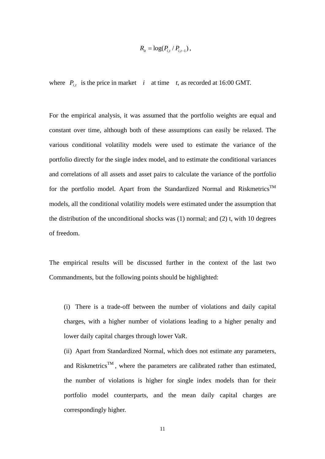$$
R_{it} = \log(P_{i,t} / P_{i,t-1}),
$$

where  $P_{i,t}$  is the price in market *i* at time *t*, as recorded at 16:00 GMT.

For the empirical analysis, it was assumed that the portfolio weights are equal and constant over time, although both of these assumptions can easily be relaxed. The various conditional volatility models were used to estimate the variance of the portfolio directly for the single index model, and to estimate the conditional variances and correlations of all assets and asset pairs to calculate the variance of the portfolio for the portfolio model. Apart from the Standardized Normal and Riskmetrics<sup>TM</sup> models, all the conditional volatility models were estimated under the assumption that the distribution of the unconditional shocks was  $(1)$  normal; and  $(2)$  t, with 10 degrees of freedom.

The empirical results will be discussed further in the context of the last two Commandments, but the following points should be highlighted:

(i) There is a trade-off between the number of violations and daily capital charges, with a higher number of violations leading to a higher penalty and lower daily capital charges through lower VaR.

(ii) Apart from Standardized Normal, which does not estimate any parameters, and Riskmetrics<sup>TM</sup>, where the parameters are calibrated rather than estimated, the number of violations is higher for single index models than for their portfolio model counterparts, and the mean daily capital charges are correspondingly higher.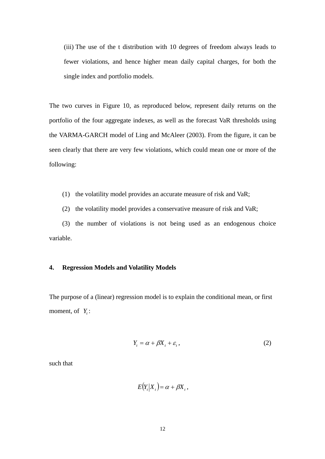(iii) The use of the t distribution with 10 degrees of freedom always leads to fewer violations, and hence higher mean daily capital charges, for both the single index and portfolio models.

The two curves in Figure 10, as reproduced below, represent daily returns on the portfolio of the four aggregate indexes, as well as the forecast VaR thresholds using the VARMA-GARCH model of Ling and McAleer (2003). From the figure, it can be seen clearly that there are very few violations, which could mean one or more of the following:

- (1) the volatility model provides an accurate measure of risk and VaR;
- (2) the volatility model provides a conservative measure of risk and VaR;

(3) the number of violations is not being used as an endogenous choice variable.

#### **4. Regression Models and Volatility Models**

The purpose of a (linear) regression model is to explain the conditional mean, or first moment, of  $Y_t$ :

$$
Y_t = \alpha + \beta X_t + \varepsilon_t, \qquad (2)
$$

such that

 $E(Y_t|X_t) = \alpha + \beta X_t,$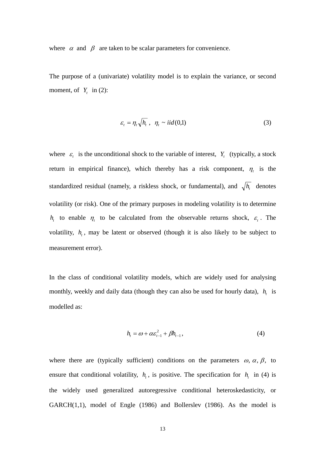where  $\alpha$  and  $\beta$  are taken to be scalar parameters for convenience.

The purpose of a (univariate) volatility model is to explain the variance, or second moment, of  $Y_t$  in (2):

$$
\varepsilon_t = \eta_t \sqrt{h_t} \ , \ \eta_t \sim \text{iid}(0,1) \tag{3}
$$

where  $\varepsilon_t$  is the unconditional shock to the variable of interest,  $Y_t$  (typically, a stock return in empirical finance), which thereby has a risk component,  $\eta_t$  is the standardized residual (namely, a riskless shock, or fundamental), and  $\sqrt{h_t}$  denotes volatility (or risk). One of the primary purposes in modeling volatility is to determine *h<sub>t</sub>* to enable  $\eta_t$  to be calculated from the observable returns shock,  $\varepsilon_t$ . The volatility,  $h_t$ , may be latent or observed (though it is also likely to be subject to measurement error).

In the class of conditional volatility models, which are widely used for analysing monthly, weekly and daily data (though they can also be used for hourly data),  $h_t$  is modelled as:

$$
h_{t} = \omega + \alpha \varepsilon_{t-1}^{2} + \beta h_{t-1}, \qquad (4)
$$

where there are (typically sufficient) conditions on the parameters  $\omega$ ,  $\alpha$ ,  $\beta$ , to ensure that conditional volatility,  $h_t$ , is positive. The specification for  $h_t$  in (4) is the widely used generalized autoregressive conditional heteroskedasticity, or GARCH(1,1), model of Engle (1986) and Bollerslev (1986). As the model is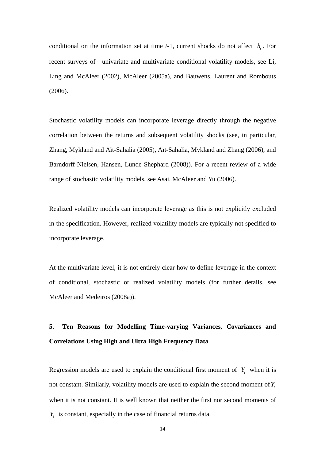conditional on the information set at time  $t-1$ , current shocks do not affect  $h_t$ . For recent surveys of univariate and multivariate conditional volatility models, see Li, Ling and McAleer (2002), McAleer (2005a), and Bauwens, Laurent and Rombouts (2006).

Stochastic volatility models can incorporate leverage directly through the negative correlation between the returns and subsequent volatility shocks (see, in particular, Zhang, Mykland and Aït-Sahalia (2005), Aït-Sahalia, Mykland and Zhang (2006), and Barndorff-Nielsen, Hansen, Lunde Shephard (2008)). For a recent review of a wide range of stochastic volatility models, see Asai, McAleer and Yu (2006).

Realized volatility models can incorporate leverage as this is not explicitly excluded in the specification. However, realized volatility models are typically not specified to incorporate leverage.

At the multivariate level, it is not entirely clear how to define leverage in the context of conditional, stochastic or realized volatility models (for further details, see McAleer and Medeiros (2008a)).

# **5. Ten Reasons for Modelling Time-varying Variances, Covariances and Correlations Using High and Ultra High Frequency Data**

Regression models are used to explain the conditional first moment of  $Y_t$  when it is not constant. Similarly, volatility models are used to explain the second moment of Y<sub>t</sub> when it is not constant. It is well known that neither the first nor second moments of *Yt* is constant, especially in the case of financial returns data.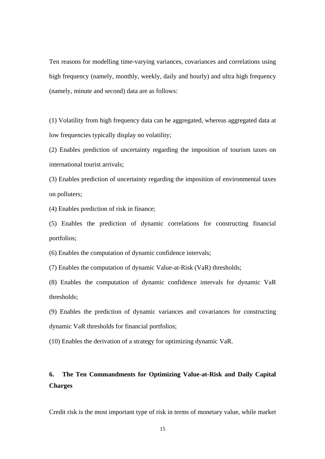Ten reasons for modelling time-varying variances, covariances and correlations using high frequency (namely, monthly, weekly, daily and hourly) and ultra high frequency (namely, minute and second) data are as follows:

(1) Volatility from high frequency data can be aggregated, whereas aggregated data at low frequencies typically display no volatility;

(2) Enables prediction of uncertainty regarding the imposition of tourism taxes on international tourist arrivals;

(3) Enables prediction of uncertainty regarding the imposition of environmental taxes on polluters;

(4) Enables prediction of risk in finance;

(5) Enables the prediction of dynamic correlations for constructing financial portfolios;

(6) Enables the computation of dynamic confidence intervals;

(7) Enables the computation of dynamic Value-at-Risk (VaR) thresholds;

(8) Enables the computation of dynamic confidence intervals for dynamic VaR thresholds;

(9) Enables the prediction of dynamic variances and covariances for constructing dynamic VaR thresholds for financial portfolios;

(10) Enables the derivation of a strategy for optimizing dynamic VaR.

## **6. The Ten Commandments for Optimizing Value-at-Risk and Daily Capital Charges**

Credit risk is the most important type of risk in terms of monetary value, while market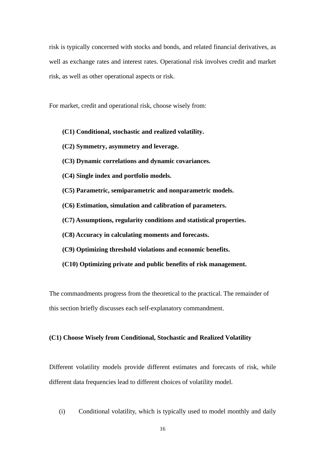risk is typically concerned with stocks and bonds, and related financial derivatives, as well as exchange rates and interest rates. Operational risk involves credit and market risk, as well as other operational aspects or risk.

For market, credit and operational risk, choose wisely from:

- **(C1) Conditional, stochastic and realized volatility.**
- **(C2) Symmetry, asymmetry and leverage.**
- **(C3) Dynamic correlations and dynamic covariances.**
- **(C4) Single index and portfolio models.**
- **(C5) Parametric, semiparametric and nonparametric models.**
- **(C6) Estimation, simulation and calibration of parameters.**
- **(C7) Assumptions, regularity conditions and statistical properties.**
- **(C8) Accuracy in calculating moments and forecasts.**
- **(C9) Optimizing threshold violations and economic benefits.**
- **(C10) Optimizing private and public benefits of risk management.**

The commandments progress from the theoretical to the practical. The remainder of this section briefly discusses each self-explanatory commandment.

### **(C1) Choose Wisely from Conditional, Stochastic and Realized Volatility**

Different volatility models provide different estimates and forecasts of risk, while different data frequencies lead to different choices of volatility model.

(i) Conditional volatility, which is typically used to model monthly and daily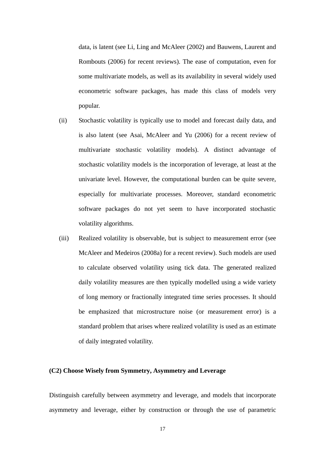data, is latent (see Li, Ling and McAleer (2002) and Bauwens, Laurent and Rombouts (2006) for recent reviews). The ease of computation, even for some multivariate models, as well as its availability in several widely used econometric software packages, has made this class of models very popular.

- (ii) Stochastic volatility is typically use to model and forecast daily data, and is also latent (see Asai, McAleer and Yu (2006) for a recent review of multivariate stochastic volatility models). A distinct advantage of stochastic volatility models is the incorporation of leverage, at least at the univariate level. However, the computational burden can be quite severe, especially for multivariate processes. Moreover, standard econometric software packages do not yet seem to have incorporated stochastic volatility algorithms.
- (iii) Realized volatility is observable, but is subject to measurement error (see McAleer and Medeiros (2008a) for a recent review). Such models are used to calculate observed volatility using tick data. The generated realized daily volatility measures are then typically modelled using a wide variety of long memory or fractionally integrated time series processes. It should be emphasized that microstructure noise (or measurement error) is a standard problem that arises where realized volatility is used as an estimate of daily integrated volatility.

### **(C2) Choose Wisely from Symmetry, Asymmetry and Leverage**

Distinguish carefully between asymmetry and leverage, and models that incorporate asymmetry and leverage, either by construction or through the use of parametric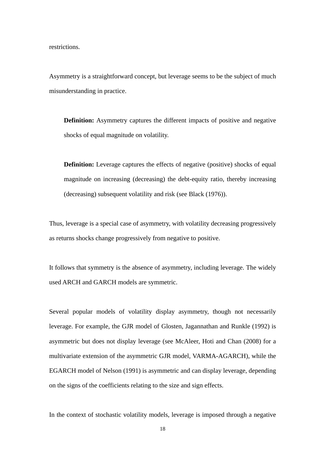restrictions.

Asymmetry is a straightforward concept, but leverage seems to be the subject of much misunderstanding in practice.

**Definition:** Asymmetry captures the different impacts of positive and negative shocks of equal magnitude on volatility.

**Definition:** Leverage captures the effects of negative (positive) shocks of equal magnitude on increasing (decreasing) the debt-equity ratio, thereby increasing (decreasing) subsequent volatility and risk (see Black (1976)).

Thus, leverage is a special case of asymmetry, with volatility decreasing progressively as returns shocks change progressively from negative to positive.

It follows that symmetry is the absence of asymmetry, including leverage. The widely used ARCH and GARCH models are symmetric.

Several popular models of volatility display asymmetry, though not necessarily leverage. For example, the GJR model of Glosten, Jagannathan and Runkle (1992) is asymmetric but does not display leverage (see McAleer, Hoti and Chan (2008) for a multivariate extension of the asymmetric GJR model, VARMA-AGARCH), while the EGARCH model of Nelson (1991) is asymmetric and can display leverage, depending on the signs of the coefficients relating to the size and sign effects.

In the context of stochastic volatility models, leverage is imposed through a negative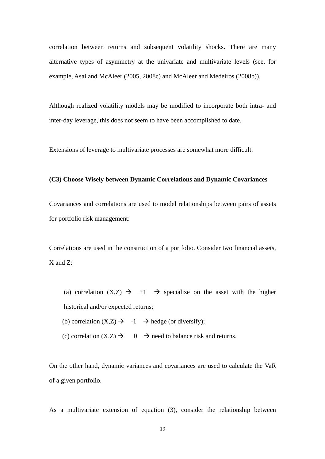correlation between returns and subsequent volatility shocks. There are many alternative types of asymmetry at the univariate and multivariate levels (see, for example, Asai and McAleer (2005, 2008c) and McAleer and Medeiros (2008b)).

Although realized volatility models may be modified to incorporate both intra- and inter-day leverage, this does not seem to have been accomplished to date.

Extensions of leverage to multivariate processes are somewhat more difficult.

#### **(C3) Choose Wisely between Dynamic Correlations and Dynamic Covariances**

Covariances and correlations are used to model relationships between pairs of assets for portfolio risk management:

Correlations are used in the construction of a portfolio. Consider two financial assets, X and Z:

- (a) correlation  $(X,Z) \rightarrow +1 \rightarrow$  specialize on the asset with the higher historical and/or expected returns;
- (b) correlation  $(X,Z) \rightarrow -1 \rightarrow$  hedge (or diversify);
- (c) correlation  $(X,Z) \to 0 \to \text{need}$  to balance risk and returns.

On the other hand, dynamic variances and covariances are used to calculate the VaR of a given portfolio.

As a multivariate extension of equation (3), consider the relationship between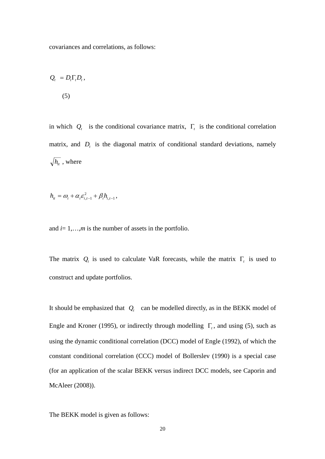covariances and correlations, as follows:

$$
Q_t = D_t \Gamma_t D_t,
$$
  
(5)

in which  $Q_t$  is the conditional covariance matrix,  $\Gamma_t$  is the conditional correlation matrix, and  $D_t$  is the diagonal matrix of conditional standard deviations, namely  $\sqrt{h_{it}}$ , where

$$
h_{it} = \omega_i + \alpha_i \varepsilon_{i,t-1}^2 + \beta_i h_{i,t-1},
$$

and  $i=1,\ldots,m$  is the number of assets in the portfolio.

The matrix  $Q_t$  is used to calculate VaR forecasts, while the matrix  $\Gamma_t$  is used to construct and update portfolios.

It should be emphasized that  $Q_t$  can be modelled directly, as in the BEKK model of Engle and Kroner (1995), or indirectly through modelling  $\Gamma$ <sub>t</sub>, and using (5), such as using the dynamic conditional correlation (DCC) model of Engle (1992), of which the constant conditional correlation (CCC) model of Bollerslev (1990) is a special case (for an application of the scalar BEKK versus indirect DCC models, see Caporin and McAleer (2008)).

The BEKK model is given as follows: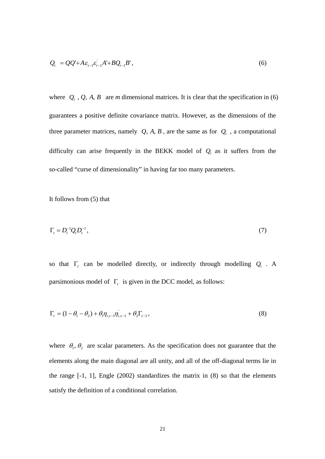$$
Q_t = QQ' + A\varepsilon_{t-1}\varepsilon_{t-1}A' + BQ_{t-1}B',\tag{6}
$$

where  $Q_t$ ,  $Q$ ,  $A$ ,  $B$  are *m* dimensional matrices. It is clear that the specification in (6) guarantees a positive definite covariance matrix. However, as the dimensions of the three parameter matrices, namely  $Q$ ,  $A$ ,  $B$ , are the same as for  $Q_t$ , a computational difficulty can arise frequently in the BEKK model of  $Q_t$  as it suffers from the so-called "curse of dimensionality" in having far too many parameters.

It follows from (5) that

$$
\Gamma_t = D_t^{-1} Q_t D_t^{-1},\tag{7}
$$

so that  $\Gamma$ <sub>t</sub> can be modelled directly, or indirectly through modelling  $Q$ <sub>t</sub>. A parsimonious model of Γ*t* is given in the DCC model, as follows:

$$
\Gamma_{t} = (1 - \theta_{1} - \theta_{2}) + \theta_{1} \eta_{i,t-1} + \theta_{2} \Gamma_{t-1},
$$
\n(8)

where  $\theta_1$ ,  $\theta_2$  are scalar parameters. As the specification does not guarantee that the elements along the main diagonal are all unity, and all of the off-diagonal terms lie in the range [-1, 1], Engle (2002) standardizes the matrix in (8) so that the elements satisfy the definition of a conditional correlation.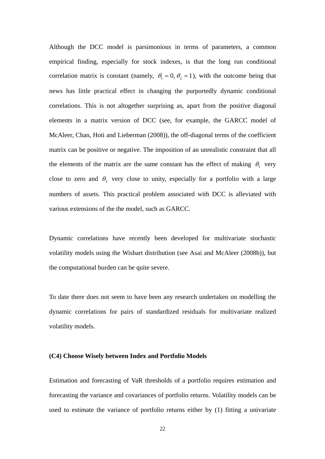Although the DCC model is parsimonious in terms of parameters, a common empirical finding, especially for stock indexes, is that the long run conditional correlation matrix is constant (namely,  $\theta_1 = 0$ ,  $\theta_2 = 1$ ), with the outcome being that news has little practical effect in changing the purportedly dynamic conditional correlations. This is not altogether surprising as, apart from the positive diagonal elements in a matrix version of DCC (see, for example, the GARCC model of McAleer, Chan, Hoti and Lieberman (2008)), the off-diagonal terms of the coefficient matrix can be positive or negative. The imposition of an unrealistic constraint that all the elements of the matrix are the same constant has the effect of making  $\theta_1$  very close to zero and  $\theta_2$  very close to unity, especially for a portfolio with a large numbers of assets. This practical problem associated with DCC is alleviated with various extensions of the the model, such as GARCC.

Dynamic correlations have recently been developed for multivariate stochastic volatility models using the Wishart distribution (see Asai and McAleer (2008b)), but the computational burden can be quite severe.

To date there does not seem to have been any research undertaken on modelling the dynamic correlations for pairs of standardized residuals for multivariate realized volatility models.

#### **(C4) Choose Wisely between Index and Portfolio Models**

Estimation and forecasting of VaR thresholds of a portfolio requires estimation and forecasting the variance and covariances of portfolio returns. Volatility models can be used to estimate the variance of portfolio returns either by (1) fitting a univariate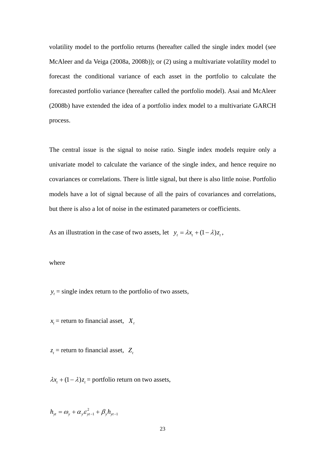volatility model to the portfolio returns (hereafter called the single index model (see McAleer and da Veiga (2008a, 2008b)); or (2) using a multivariate volatility model to forecast the conditional variance of each asset in the portfolio to calculate the forecasted portfolio variance (hereafter called the portfolio model). Asai and McAleer (2008b) have extended the idea of a portfolio index model to a multivariate GARCH process.

The central issue is the signal to noise ratio. Single index models require only a univariate model to calculate the variance of the single index, and hence require no covariances or correlations. There is little signal, but there is also little noise. Portfolio models have a lot of signal because of all the pairs of covariances and correlations, but there is also a lot of noise in the estimated parameters or coefficients.

As an illustration in the case of two assets, let  $y_t = \lambda x_t + (1 - \lambda)z_t$ ,

where

 $y_t$  = single index return to the portfolio of two assets,

 $x_t$  = return to financial asset,  $X_t$ 

 $z_t$  = return to financial asset,  $Z_t$ 

 $\lambda x_t + (1 - \lambda)z_t$  = portfolio return on two assets,

1  $h_{yt} = \omega_y + \alpha_y \varepsilon_{yt-1}^2 + \beta_y h_{yt-1}$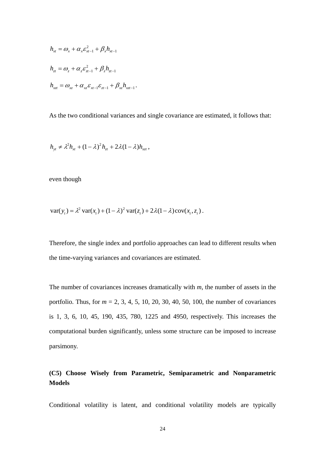$$
h_{xt} = \omega_x + \alpha_x \varepsilon_{xt-1}^2 + \beta_x h_{xt-1}
$$
  
\n
$$
h_{zt} = \omega_z + \alpha_z \varepsilon_{zt-1}^2 + \beta_z h_{zt-1}
$$
  
\n
$$
h_{xt} = \omega_{xz} + \alpha_{xz} \varepsilon_{xt-1} \varepsilon_{zt-1} + \beta_{xz} h_{xt-1}.
$$

As the two conditional variances and single covariance are estimated, it follows that:

$$
h_{\mathsf{y}t} \neq \lambda^2 h_{\mathsf{x}t} + (1 - \lambda)^2 h_{\mathsf{z}t} + 2\lambda (1 - \lambda) h_{\mathsf{x}t},
$$

even though

$$
\text{var}(y_t) = \lambda^2 \, \text{var}(x_t) + (1 - \lambda)^2 \, \text{var}(z_t) + 2\lambda (1 - \lambda) \, \text{cov}(x_t, z_t) \, .
$$

Therefore, the single index and portfolio approaches can lead to different results when the time-varying variances and covariances are estimated.

The number of covariances increases dramatically with *m*, the number of assets in the portfolio. Thus, for *m* = 2, 3, 4, 5, 10, 20, 30, 40, 50, 100, the number of covariances is 1, 3, 6, 10, 45, 190, 435, 780, 1225 and 4950, respectively. This increases the computational burden significantly, unless some structure can be imposed to increase parsimony.

## **(C5) Choose Wisely from Parametric, Semiparametric and Nonparametric Models**

Conditional volatility is latent, and conditional volatility models are typically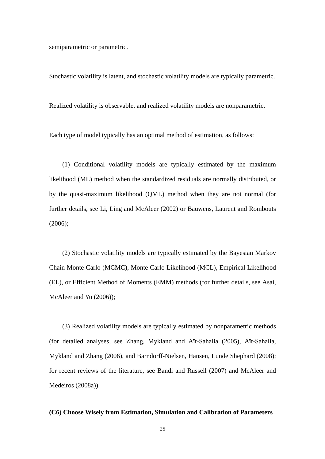semiparametric or parametric.

Stochastic volatility is latent, and stochastic volatility models are typically parametric.

Realized volatility is observable, and realized volatility models are nonparametric.

Each type of model typically has an optimal method of estimation, as follows:

(1) Conditional volatility models are typically estimated by the maximum likelihood (ML) method when the standardized residuals are normally distributed, or by the quasi-maximum likelihood (QML) method when they are not normal (for further details, see Li, Ling and McAleer (2002) or Bauwens, Laurent and Rombouts (2006);

(2) Stochastic volatility models are typically estimated by the Bayesian Markov Chain Monte Carlo (MCMC), Monte Carlo Likelihood (MCL), Empirical Likelihood (EL), or Efficient Method of Moments (EMM) methods (for further details, see Asai, McAleer and Yu (2006));

(3) Realized volatility models are typically estimated by nonparametric methods (for detailed analyses, see Zhang, Mykland and Aït-Sahalia (2005), Aït-Sahalia, Mykland and Zhang (2006), and Barndorff-Nielsen, Hansen, Lunde Shephard (2008); for recent reviews of the literature, see Bandi and Russell (2007) and McAleer and Medeiros (2008a)).

### **(C6) Choose Wisely from Estimation, Simulation and Calibration of Parameters**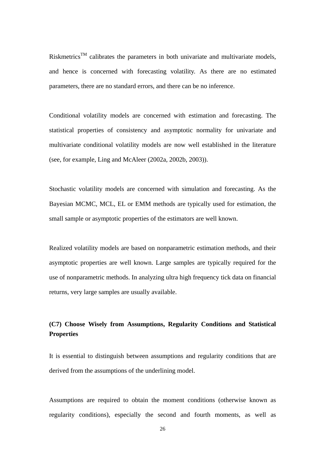Riskmetrics<sup>TM</sup> calibrates the parameters in both univariate and multivariate models, and hence is concerned with forecasting volatility. As there are no estimated parameters, there are no standard errors, and there can be no inference.

Conditional volatility models are concerned with estimation and forecasting. The statistical properties of consistency and asymptotic normality for univariate and multivariate conditional volatility models are now well established in the literature (see, for example, Ling and McAleer (2002a, 2002b, 2003)).

Stochastic volatility models are concerned with simulation and forecasting. As the Bayesian MCMC, MCL, EL or EMM methods are typically used for estimation, the small sample or asymptotic properties of the estimators are well known.

Realized volatility models are based on nonparametric estimation methods, and their asymptotic properties are well known. Large samples are typically required for the use of nonparametric methods. In analyzing ultra high frequency tick data on financial returns, very large samples are usually available.

## **(C7) Choose Wisely from Assumptions, Regularity Conditions and Statistical Properties**

It is essential to distinguish between assumptions and regularity conditions that are derived from the assumptions of the underlining model.

Assumptions are required to obtain the moment conditions (otherwise known as regularity conditions), especially the second and fourth moments, as well as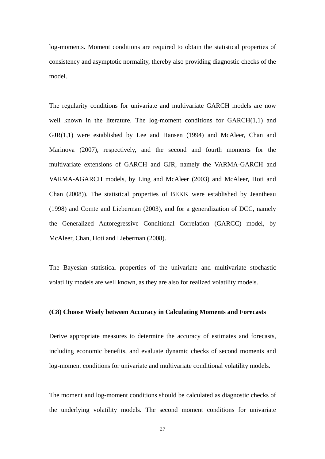log-moments. Moment conditions are required to obtain the statistical properties of consistency and asymptotic normality, thereby also providing diagnostic checks of the model.

The regularity conditions for univariate and multivariate GARCH models are now well known in the literature. The log-moment conditions for GARCH(1,1) and GJR(1,1) were established by Lee and Hansen (1994) and McAleer, Chan and Marinova (2007), respectively, and the second and fourth moments for the multivariate extensions of GARCH and GJR, namely the VARMA-GARCH and VARMA-AGARCH models, by Ling and McAleer (2003) and McAleer, Hoti and Chan (2008)). The statistical properties of BEKK were established by Jeantheau (1998) and Comte and Lieberman (2003), and for a generalization of DCC, namely the Generalized Autoregressive Conditional Correlation (GARCC) model, by McAleer, Chan, Hoti and Lieberman (2008).

The Bayesian statistical properties of the univariate and multivariate stochastic volatility models are well known, as they are also for realized volatility models.

#### **(C8) Choose Wisely between Accuracy in Calculating Moments and Forecasts**

Derive appropriate measures to determine the accuracy of estimates and forecasts, including economic benefits, and evaluate dynamic checks of second moments and log-moment conditions for univariate and multivariate conditional volatility models.

The moment and log-moment conditions should be calculated as diagnostic checks of the underlying volatility models. The second moment conditions for univariate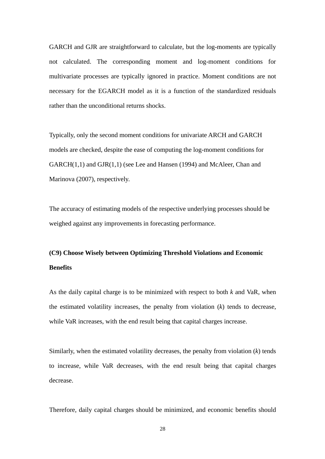GARCH and GJR are straightforward to calculate, but the log-moments are typically not calculated. The corresponding moment and log-moment conditions for multivariate processes are typically ignored in practice. Moment conditions are not necessary for the EGARCH model as it is a function of the standardized residuals rather than the unconditional returns shocks.

Typically, only the second moment conditions for univariate ARCH and GARCH models are checked, despite the ease of computing the log-moment conditions for GARCH(1,1) and GJR(1,1) (see Lee and Hansen (1994) and McAleer, Chan and Marinova (2007), respectively.

The accuracy of estimating models of the respective underlying processes should be weighed against any improvements in forecasting performance.

# **(C9) Choose Wisely between Optimizing Threshold Violations and Economic Benefits**

As the daily capital charge is to be minimized with respect to both *k* and VaR, when the estimated volatility increases, the penalty from violation (*k*) tends to decrease, while VaR increases, with the end result being that capital charges increase.

Similarly, when the estimated volatility decreases, the penalty from violation (*k*) tends to increase, while VaR decreases, with the end result being that capital charges decrease.

Therefore, daily capital charges should be minimized, and economic benefits should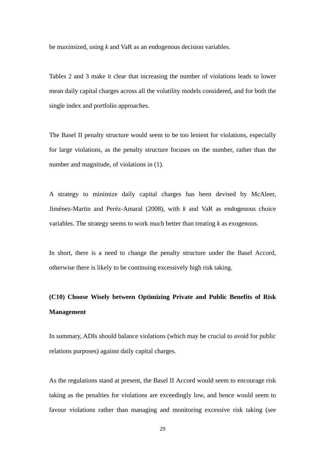be maximized, using *k* and VaR as an endogenous decision variables.

Tables 2 and 3 make it clear that increasing the number of violations leads to lower mean daily capital charges across all the volatility models considered, and for both the single index and portfolio approaches.

The Basel II penalty structure would seem to be too lenient for violations, especially for large violations, as the penalty structure focuses on the number, rather than the number and magnitude, of violations in (1).

A strategy to minimize daily capital charges has been devised by McAleer, Jiménez-Martin and Peréz-Amaral (2008), with *k* and VaR as endogenous choice variables. The strategy seems to work much better than treating *k* as exogenous.

In short, there is a need to change the penalty structure under the Basel Accord, otherwise there is likely to be continuing excessively high risk taking.

# **(C10) Choose Wisely between Optimizing Private and Public Benefits of Risk Management**

In summary, ADIs should balance violations (which may be crucial to avoid for public relations purposes) against daily capital charges.

As the regulations stand at present, the Basel II Accord would seem to encourage risk taking as the penalties for violations are exceedingly low, and hence would seem to favour violations rather than managing and monitoring excessive risk taking (see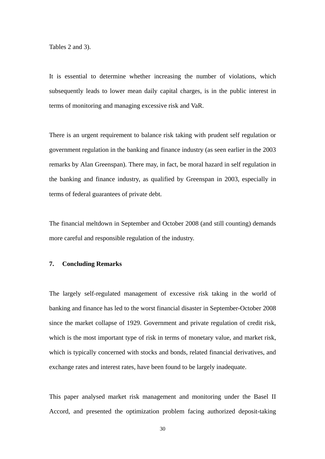Tables 2 and 3).

It is essential to determine whether increasing the number of violations, which subsequently leads to lower mean daily capital charges, is in the public interest in terms of monitoring and managing excessive risk and VaR.

There is an urgent requirement to balance risk taking with prudent self regulation or government regulation in the banking and finance industry (as seen earlier in the 2003 remarks by Alan Greenspan). There may, in fact, be moral hazard in self regulation in the banking and finance industry, as qualified by Greenspan in 2003, especially in terms of federal guarantees of private debt.

The financial meltdown in September and October 2008 (and still counting) demands more careful and responsible regulation of the industry.

### **7. Concluding Remarks**

The largely self-regulated management of excessive risk taking in the world of banking and finance has led to the worst financial disaster in September-October 2008 since the market collapse of 1929. Government and private regulation of credit risk, which is the most important type of risk in terms of monetary value, and market risk, which is typically concerned with stocks and bonds, related financial derivatives, and exchange rates and interest rates, have been found to be largely inadequate.

This paper analysed market risk management and monitoring under the Basel II Accord, and presented the optimization problem facing authorized deposit-taking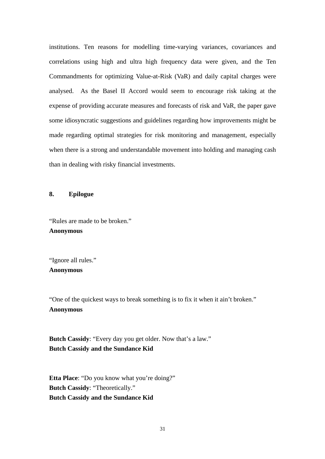institutions. Ten reasons for modelling time-varying variances, covariances and correlations using high and ultra high frequency data were given, and the Ten Commandments for optimizing Value-at-Risk (VaR) and daily capital charges were analysed. As the Basel II Accord would seem to encourage risk taking at the expense of providing accurate measures and forecasts of risk and VaR, the paper gave some idiosyncratic suggestions and guidelines regarding how improvements might be made regarding optimal strategies for risk monitoring and management, especially when there is a strong and understandable movement into holding and managing cash than in dealing with risky financial investments.

### **8. Epilogue**

"Rules are made to be broken." **Anonymous** 

"Ignore all rules." **Anonymous** 

"One of the quickest ways to break something is to fix it when it ain't broken." **Anonymous** 

**Butch Cassidy:** "Every day you get older. Now that's a law." **Butch Cassidy and the Sundance Kid**

**Etta Place**: "Do you know what you're doing?" **Butch Cassidy**: "Theoretically." **Butch Cassidy and the Sundance Kid**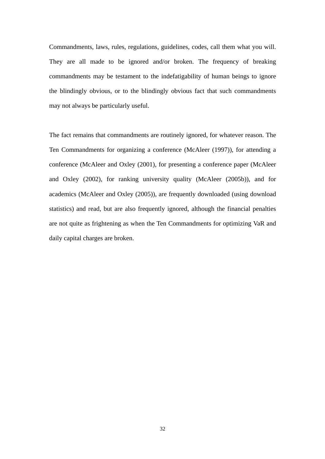Commandments, laws, rules, regulations, guidelines, codes, call them what you will. They are all made to be ignored and/or broken. The frequency of breaking commandments may be testament to the indefatigability of human beings to ignore the blindingly obvious, or to the blindingly obvious fact that such commandments may not always be particularly useful.

The fact remains that commandments are routinely ignored, for whatever reason. The Ten Commandments for organizing a conference (McAleer (1997)), for attending a conference (McAleer and Oxley (2001), for presenting a conference paper (McAleer and Oxley (2002), for ranking university quality (McAleer (2005b)), and for academics (McAleer and Oxley (2005)), are frequently downloaded (using download statistics) and read, but are also frequently ignored, although the financial penalties are not quite as frightening as when the Ten Commandments for optimizing VaR and daily capital charges are broken.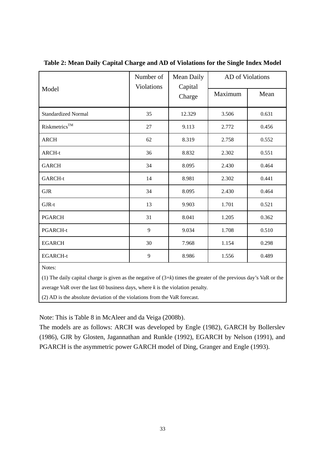|                            | Number of<br><b>Violations</b> | Mean Daily<br>Capital | AD of Violations |       |
|----------------------------|--------------------------------|-----------------------|------------------|-------|
| Model                      |                                | Charge                | Maximum          | Mean  |
| <b>Standardized Normal</b> | 35                             | 12.329                | 3.506            | 0.631 |
| Riskmetrics™               | 27                             | 9.113                 | 2.772            | 0.456 |
| <b>ARCH</b>                | 62                             | 8.319                 | 2.758            | 0.552 |
| ARCH-t                     | 36                             | 8.832                 | 2.302            | 0.551 |
| <b>GARCH</b>               | 34                             | 8.095                 | 2.430            | 0.464 |
| GARCH-t                    | 14                             | 8.981                 | 2.302            | 0.441 |
| <b>GJR</b>                 | 34                             | 8.095                 | 2.430            | 0.464 |
| GJR-t                      | 13                             | 9.903                 | 1.701            | 0.521 |
| <b>PGARCH</b>              | 31                             | 8.041                 | 1.205            | 0.362 |
| PGARCH-t                   | 9                              | 9.034                 | 1.708            | 0.510 |
| <b>EGARCH</b>              | 30                             | 7.968                 | 1.154            | 0.298 |
| <b>EGARCH-t</b>            | 9                              | 8.986                 | 1.556            | 0.489 |
| $\mathbf{v}$               |                                |                       |                  |       |

**Table 2: Mean Daily Capital Charge and AD of Violations for the Single Index Model** 

Notes:

(1) The daily capital charge is given as the negative of (3+*k*) times the greater of the previous day's VaR or the

average VaR over the last 60 business days, where *k* is the violation penalty.

(2) AD is the absolute deviation of the violations from the VaR forecast.

Note: This is Table 8 in McAleer and da Veiga (2008b).

The models are as follows: ARCH was developed by Engle (1982), GARCH by Bollerslev (1986), GJR by Glosten, Jagannathan and Runkle (1992), EGARCH by Nelson (1991), and PGARCH is the asymmetric power GARCH model of Ding, Granger and Engle (1993).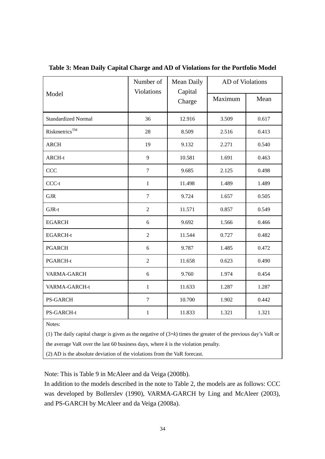|                            | Number of<br><b>Violations</b> | Mean Daily<br>Capital | AD of Violations |       |
|----------------------------|--------------------------------|-----------------------|------------------|-------|
| Model                      |                                | Charge                | Maximum          | Mean  |
| <b>Standardized Normal</b> | 36                             | 12.916                | 3.509            | 0.617 |
| Riskmetrics <sup>TM</sup>  | 28                             | 8.509                 | 2.516            | 0.413 |
| <b>ARCH</b>                | 19                             | 9.132                 | 2.271            | 0.540 |
| ARCH-t                     | 9                              | 10.581                | 1.691            | 0.463 |
| CCC                        | $\overline{7}$                 | 9.685                 | 2.125            | 0.498 |
| CCC-t                      | $\mathbf{1}$                   | 11.498                | 1.489            | 1.489 |
| $\rm GJR$                  | $\boldsymbol{7}$               | 9.724                 | 1.657            | 0.505 |
| GJR-t                      | $\overline{2}$                 | 11.571                | 0.857            | 0.549 |
| <b>EGARCH</b>              | 6                              | 9.692                 | 1.566            | 0.466 |
| <b>EGARCH-t</b>            | $\sqrt{2}$                     | 11.544                | 0.727            | 0.482 |
| <b>PGARCH</b>              | 6                              | 9.787                 | 1.485            | 0.472 |
| PGARCH-t                   | $\overline{2}$                 | 11.658                | 0.623            | 0.490 |
| VARMA-GARCH                | 6                              | 9.760                 | 1.974            | 0.454 |
| VARMA-GARCH-t              | $\mathbf{1}$                   | 11.633                | 1.287            | 1.287 |
| <b>PS-GARCH</b>            | $\tau$                         | 10.700                | 1.902            | 0.442 |
| PS-GARCH-t                 | $\mathbf{1}$                   | 11.833                | 1.321            | 1.321 |
| Notes:                     |                                |                       |                  |       |

**Table 3: Mean Daily Capital Charge and AD of Violations for the Portfolio Model** 

(1) The daily capital charge is given as the negative of (3+*k*) times the greater of the previous day's VaR or the average VaR over the last 60 business days, where *k* is the violation penalty.

(2) AD is the absolute deviation of the violations from the VaR forecast.

Note: This is Table 9 in McAleer and da Veiga (2008b).

In addition to the models described in the note to Table 2, the models are as follows: CCC was developed by Bollerslev (1990), VARMA-GARCH by Ling and McAleer (2003), and PS-GARCH by McAleer and da Veiga (2008a).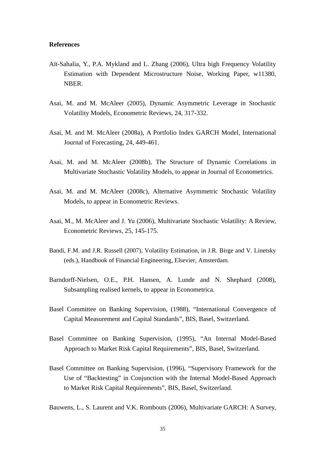#### **References**

- Aït-Sahalia, Y., P.A. Mykland and L. Zhang (2006), Ultra high Frequency Volatility Estimation with Dependent Microstructure Noise, Working Paper, w11380, NBER.
- Asai, M. and M. McAleer (2005), Dynamic Asymmetric Leverage in Stochastic Volatility Models, Econometric Reviews, 24, 317-332.
- Asai, M. and M. McAleer (2008a), A Portfolio Index GARCH Model, International Journal of Forecasting, 24, 449-461.
- Asai, M. and M. McAleer (2008b), The Structure of Dynamic Correlations in Multivariate Stochastic Volatility Models, to appear in Journal of Econometrics.
- Asai, M. and M. McAleer (2008c), Alternative Asymmetric Stochastic Volatility Models, to appear in Econometric Reviews.
- Asai, M., M. McAleer and J. Yu (2006), Multivariate Stochastic Volatility: A Review, Econometric Reviews, 25, 145-175.
- Bandi, F.M. and J.R. Russell (2007), Volatility Estimation, in J.R. Birge and V. Linetsky (eds.), Handbook of Financial Engineering, Elsevier, Amsterdam.
- Barndorff-Nielsen, O.E., P.H. Hansen, A. Lunde and N. Shephard (2008), Subsampling realised kernels, to appear in Econometrica.
- Basel Committee on Banking Supervision, (1988), "International Convergence of Capital Measurement and Capital Standards", BIS, Basel, Switzerland.
- Basel Committee on Banking Supervision, (1995), "An Internal Model-Based Approach to Market Risk Capital Requirements", BIS, Basel, Switzerland.
- Basel Committee on Banking Supervision, (1996), "Supervisory Framework for the Use of "Backtesting" in Conjunction with the Internal Model-Based Approach to Market Risk Capital Requirements", BIS, Basel, Switzerland.
- Bauwens, L., S. Laurent and V.K. Rombouts (2006), Multivariate GARCH: A Survey,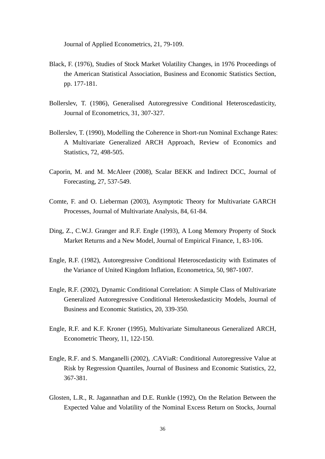Journal of Applied Econometrics, 21, 79-109.

- Black, F. (1976), Studies of Stock Market Volatility Changes, in 1976 Proceedings of the American Statistical Association, Business and Economic Statistics Section, pp. 177-181.
- Bollerslev, T. (1986), Generalised Autoregressive Conditional Heteroscedasticity, Journal of Econometrics, 31, 307-327.
- Bollerslev, T. (1990), Modelling the Coherence in Short-run Nominal Exchange Rates: A Multivariate Generalized ARCH Approach, Review of Economics and Statistics, 72, 498-505.
- Caporin, M. and M. McAleer (2008), Scalar BEKK and Indirect DCC, Journal of Forecasting, 27, 537-549.
- Comte, F. and O. Lieberman (2003), Asymptotic Theory for Multivariate GARCH Processes, Journal of Multivariate Analysis, 84, 61-84.
- Ding, Z., C.W.J. Granger and R.F. Engle (1993), A Long Memory Property of Stock Market Returns and a New Model, Journal of Empirical Finance, 1, 83-106.
- Engle, R.F. (1982), Autoregressive Conditional Heteroscedasticity with Estimates of the Variance of United Kingdom Inflation, Econometrica, 50, 987-1007.
- Engle, R.F. (2002), Dynamic Conditional Correlation: A Simple Class of Multivariate Generalized Autoregressive Conditional Heteroskedasticity Models, Journal of Business and Economic Statistics, 20, 339-350.
- Engle, R.F. and K.F. Kroner (1995), Multivariate Simultaneous Generalized ARCH, Econometric Theory, 11, 122-150.
- Engle, R.F. and S. Manganelli (2002), .CAViaR: Conditional Autoregressive Value at Risk by Regression Quantiles, Journal of Business and Economic Statistics, 22, 367-381.
- Glosten, L.R., R. Jagannathan and D.E. Runkle (1992), On the Relation Between the Expected Value and Volatility of the Nominal Excess Return on Stocks, Journal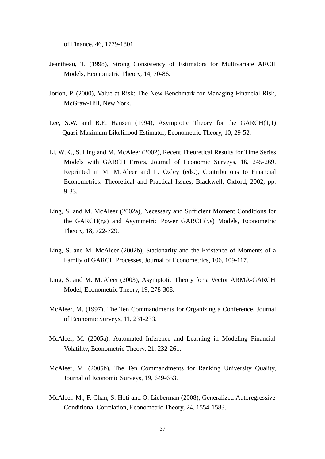of Finance, 46, 1779-1801.

- Jeantheau, T. (1998), Strong Consistency of Estimators for Multivariate ARCH Models, Econometric Theory, 14, 70-86.
- Jorion, P. (2000), Value at Risk: The New Benchmark for Managing Financial Risk, McGraw-Hill, New York.
- Lee, S.W. and B.E. Hansen (1994), Asymptotic Theory for the GARCH(1,1) Quasi-Maximum Likelihood Estimator, Econometric Theory, 10, 29-52.
- Li, W.K., S. Ling and M. McAleer (2002), Recent Theoretical Results for Time Series Models with GARCH Errors, Journal of Economic Surveys, 16, 245-269. Reprinted in M. McAleer and L. Oxley (eds.), Contributions to Financial Econometrics: Theoretical and Practical Issues, Blackwell, Oxford, 2002, pp. 9-33.
- Ling, S. and M. McAleer (2002a), Necessary and Sufficient Moment Conditions for the GARCH(r,s) and Asymmetric Power GARCH(r,s) Models, Econometric Theory, 18, 722-729.
- Ling, S. and M. McAleer (2002b), Stationarity and the Existence of Moments of a Family of GARCH Processes, Journal of Econometrics, 106, 109-117.
- Ling, S. and M. McAleer (2003), Asymptotic Theory for a Vector ARMA-GARCH Model, Econometric Theory, 19, 278-308.
- McAleer, M. (1997), The Ten Commandments for Organizing a Conference, Journal of Economic Surveys, 11, 231-233.
- McAleer, M. (2005a), Automated Inference and Learning in Modeling Financial Volatility, Econometric Theory, 21, 232-261.
- McAleer, M. (2005b), The Ten Commandments for Ranking University Quality, Journal of Economic Surveys, 19, 649-653.
- McAleer. M., F. Chan, S. Hoti and O. Lieberman (2008), Generalized Autoregressive Conditional Correlation, Econometric Theory, 24, 1554-1583.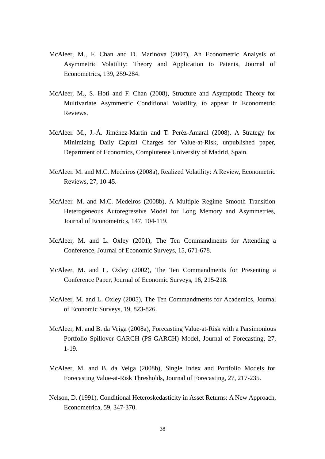- McAleer, M., F. Chan and D. Marinova (2007), An Econometric Analysis of Asymmetric Volatility: Theory and Application to Patents, Journal of Econometrics, 139, 259-284.
- McAleer, M., S. Hoti and F. Chan (2008), Structure and Asymptotic Theory for Multivariate Asymmetric Conditional Volatility, to appear in Econometric Reviews.
- McAleer. M., J.-Á. Jiménez-Martin and T. Peréz-Amaral (2008), A Strategy for Minimizing Daily Capital Charges for Value-at-Risk, unpublished paper, Department of Economics, Complutense University of Madrid, Spain.
- McAleer. M. and M.C. Medeiros (2008a), Realized Volatility: A Review, Econometric Reviews, 27, 10-45.
- McAleer. M. and M.C. Medeiros (2008b), A Multiple Regime Smooth Transition Heterogeneous Autoregressive Model for Long Memory and Asymmetries, Journal of Econometrics, 147, 104-119.
- McAleer, M. and L. Oxley (2001), The Ten Commandments for Attending a Conference, Journal of Economic Surveys, 15, 671-678.
- McAleer, M. and L. Oxley (2002), The Ten Commandments for Presenting a Conference Paper, Journal of Economic Surveys, 16, 215-218.
- McAleer, M. and L. Oxley (2005), The Ten Commandments for Academics, Journal of Economic Surveys, 19, 823-826.
- McAleer, M. and B. da Veiga (2008a), Forecasting Value-at-Risk with a Parsimonious Portfolio Spillover GARCH (PS-GARCH) Model, Journal of Forecasting, 27, 1-19.
- McAleer, M. and B. da Veiga (2008b), Single Index and Portfolio Models for Forecasting Value-at-Risk Thresholds, Journal of Forecasting, 27, 217-235.
- Nelson, D. (1991), Conditional Heteroskedasticity in Asset Returns: A New Approach, Econometrica, 59, 347-370.